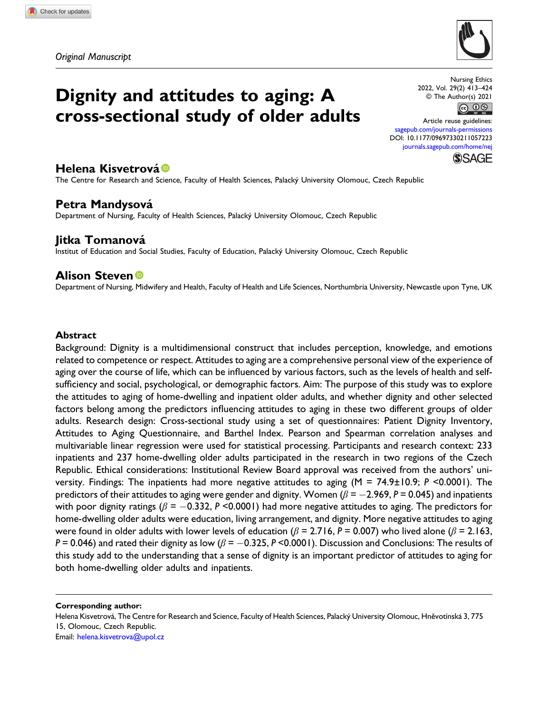

Dignity and attitudes to aging: A cross-sectional study of older adults

Nursing Ethics 2022, Vol. 29(2) 413–424  $\circ$  The Author(s) 2021

Article reuse guidelines: [sagepub.com/journals-permissions](https://uk.sagepub.com/en-gb/journals-permissions) DOI: [10.1177/09697330211057223](https://doi.org/10.1177/09697330211057223) [journals.sagepub.com/home/nej](https://journals.sagepub.com/home/nej)



## Helena Kisvetrová ®

The Centre for Research and Science, Faculty of Health Sciences, Palacký University Olomouc, Czech Republic

# Petra Mandysová

Department of Nursing, Faculty of Health Sciences, Palacky University Olomouc, Czech Republic ´

## Jitka Tomanová

Institut of Education and Social Studies, Faculty of Education, Palacky University Olomouc, Czech Republic ´

## **Alison Steven**<sup>®</sup>

Department of Nursing, Midwifery and Health, Faculty of Health and Life Sciences, Northumbria University, Newcastle upon Tyne, UK

#### Abstract

Background: Dignity is a multidimensional construct that includes perception, knowledge, and emotions related to competence or respect. Attitudes to aging are a comprehensive personal view of the experience of aging over the course of life, which can be influenced by various factors, such as the levels of health and selfsufficiency and social, psychological, or demographic factors. Aim: The purpose of this study was to explore the attitudes to aging of home-dwelling and inpatient older adults, and whether dignity and other selected factors belong among the predictors influencing attitudes to aging in these two different groups of older adults. Research design: Cross-sectional study using a set of questionnaires: Patient Dignity Inventory, Attitudes to Aging Questionnaire, and Barthel Index. Pearson and Spearman correlation analyses and multivariable linear regression were used for statistical processing. Participants and research context: 233 inpatients and 237 home-dwelling older adults participated in the research in two regions of the Czech Republic. Ethical considerations: Institutional Review Board approval was received from the authors' university. Findings: The inpatients had more negative attitudes to aging (M = 74.9±10.9; P <0.0001). The predictors of their attitudes to aging were gender and dignity. Women ( $\beta$  = -2.969, P = 0.045) and inpatients with poor dignity ratings ( $\beta = -0.332$ , P <0.0001) had more negative attitudes to aging. The predictors for home-dwelling older adults were education, living arrangement, and dignity. More negative attitudes to aging were found in older adults with lower levels of education ( $\beta$  = 2.716, P = 0.007) who lived alone ( $\beta$  = 2.163, P = 0.046) and rated their dignity as low ( $\beta$  = -0.325, P <0.0001). Discussion and Conclusions: The results of this study add to the understanding that a sense of dignity is an important predictor of attitudes to aging for both home-dwelling older adults and inpatients.

Corresponding author:

Helena Kisvetrová, The Centre for Research and Science, Faculty of Health Sciences, Palacký University Olomouc, Hněvotínská 3, 775 15, Olomouc, Czech Republic.

Email: [helena.kisvetrova@upol.cz](mailto:helena.kisvetrova@upol.cz)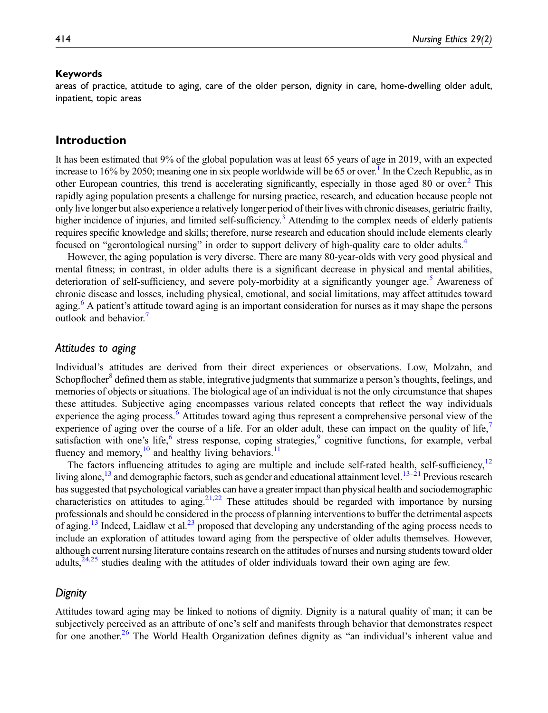#### Keywords

areas of practice, attitude to aging, care of the older person, dignity in care, home-dwelling older adult, inpatient, topic areas

## Introduction

It has been estimated that 9% of the global population was at least 65 years of age in 2019, with an expected increase to 16% by 2050; meaning one in six people worldwide will be 65 or over.<sup>1</sup> In the Czech Republic, as in other European countries, this trend is accelerating significantly, especially in those aged 80 or over[.2](#page-9-1) This rapidly aging population presents a challenge for nursing practice, research, and education because people not only live longer but also experience a relatively longer period of their lives with chronic diseases, geriatric frailty, higher incidence of injuries, and limited self-sufficiency.<sup>3</sup> Attending to the complex needs of elderly patients requires specific knowledge and skills; therefore, nurse research and education should include elements clearly focused on "gerontological nursing" in order to support delivery of high-quality care to older adults[.4](#page-9-3)

However, the aging population is very diverse. There are many 80-year-olds with very good physical and mental fitness; in contrast, in older adults there is a significant decrease in physical and mental abilities, deterioration of self-sufficiency, and severe poly-morbidity at a significantly younger age.<sup>[5](#page-9-4)</sup> Awareness of chronic disease and losses, including physical, emotional, and social limitations, may affect attitudes toward aging.<sup>[6](#page-9-5)</sup> A patient's attitude toward aging is an important consideration for nurses as it may shape the persons outlook and behavior.<sup>[7](#page-9-6)</sup>

## Attitudes to aging

Individual's attitudes are derived from their direct experiences or observations. Low, Molzahn, and Schopflocher<sup>[8](#page-9-7)</sup> defined them as stable, integrative judgments that summarize a person's thoughts, feelings, and memories of objects or situations. The biological age of an individual is not the only circumstance that shapes these attitudes. Subjective aging encompasses various related concepts that reflect the way individuals experience the aging process.<sup>[6](#page-9-5)</sup> Attitudes toward aging thus represent a comprehensive personal view of the experience of aging over the course of a life. For an older adult, these can impact on the quality of life, satisfaction with one's life, $6$  stress response, coping strategies, $9$  cognitive functions, for example, verbal fluency and memory,<sup>[10](#page-9-9)</sup> and healthy living behaviors.<sup>11</sup>

The factors influencing attitudes to aging are multiple and include self-rated health, self-sufficiency, $12$ living alone,<sup>[13](#page-10-1)</sup> and demographic factors, such as gender and educational attainment level.<sup>13–[21](#page-10-2)</sup> Previous research has suggested that psychological variables can have a greater impact than physical health and sociodemographic characteristics on attitudes to aging.<sup>[21,](#page-10-2)[22](#page-10-3)</sup> These attitudes should be regarded with importance by nursing professionals and should be considered in the process of planning interventions to buffer the detrimental aspects of aging.<sup>[13](#page-10-1)</sup> Indeed, Laidlaw et al.<sup>23</sup> proposed that developing any understanding of the aging process needs to include an exploration of attitudes toward aging from the perspective of older adults themselves. However, although current nursing literature contains research on the attitudes of nurses and nursing students toward older adults,<sup>[24,](#page-10-5)[25](#page-10-6)</sup> studies dealing with the attitudes of older individuals toward their own aging are few.

### **Dignity**

Attitudes toward aging may be linked to notions of dignity. Dignity is a natural quality of man; it can be subjectively perceived as an attribute of one's self and manifests through behavior that demonstrates respect for one another.<sup>[26](#page-10-7)</sup> The World Health Organization defines dignity as "an individual's inherent value and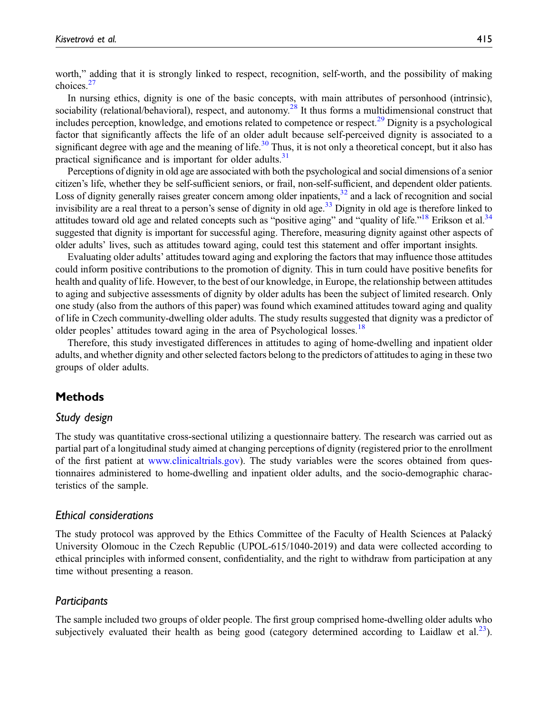worth," adding that it is strongly linked to respect, recognition, self-worth, and the possibility of making choices.<sup>[27](#page-10-8)</sup>

In nursing ethics, dignity is one of the basic concepts, with main attributes of personhood (intrinsic), sociability (relational/behavioral), respect, and autonomy.<sup>[28](#page-10-9)</sup> It thus forms a multidimensional construct that includes perception, knowledge, and emotions related to competence or respect.[29](#page-10-10) Dignity is a psychological factor that significantly affects the life of an older adult because self-perceived dignity is associated to a significant degree with age and the meaning of life.<sup>[30](#page-10-11)</sup> Thus, it is not only a theoretical concept, but it also has practical significance and is important for older adults.<sup>31</sup>

Perceptions of dignity in old age are associated with both the psychological and social dimensions of a senior citizen's life, whether they be self-sufficient seniors, or frail, non-self-sufficient, and dependent older patients. Loss of dignity generally raises greater concern among older inpatients, $32$  and a lack of recognition and social invisibility are a real threat to a person's sense of dignity in old age.<sup>[33](#page-10-14)</sup> Dignity in old age is therefore linked to attitudes toward old age and related concepts such as "positive aging" and "quality of life."<sup>[18](#page-10-15)</sup> Erikson et al.<sup>34</sup> suggested that dignity is important for successful aging. Therefore, measuring dignity against other aspects of older adults' lives, such as attitudes toward aging, could test this statement and offer important insights.

Evaluating older adults' attitudes toward aging and exploring the factors that may influence those attitudes could inform positive contributions to the promotion of dignity. This in turn could have positive benefits for health and quality of life. However, to the best of our knowledge, in Europe, the relationship between attitudes to aging and subjective assessments of dignity by older adults has been the subject of limited research. Only one study (also from the authors of this paper) was found which examined attitudes toward aging and quality of life in Czech community-dwelling older adults. The study results suggested that dignity was a predictor of older peoples' attitudes toward aging in the area of Psychological losses.<sup>[18](#page-10-15)</sup>

Therefore, this study investigated differences in attitudes to aging of home-dwelling and inpatient older adults, and whether dignity and other selected factors belong to the predictors of attitudes to aging in these two groups of older adults.

## Methods

### Study design

The study was quantitative cross-sectional utilizing a questionnaire battery. The research was carried out as partial part of a longitudinal study aimed at changing perceptions of dignity (registered prior to the enrollment of the first patient at [www.clinicaltrials.gov](http://www.clinicaltrials.gov)). The study variables were the scores obtained from questionnaires administered to home-dwelling and inpatient older adults, and the socio-demographic characteristics of the sample.

#### Ethical considerations

The study protocol was approved by the Ethics Committee of the Faculty of Health Sciences at Palacky´ University Olomouc in the Czech Republic (UPOL-615/1040-2019) and data were collected according to ethical principles with informed consent, confidentiality, and the right to withdraw from participation at any time without presenting a reason.

### **Participants**

The sample included two groups of older people. The first group comprised home-dwelling older adults who subjectively evaluated their health as being good (category determined according to Laidlaw et al. $^{23}$ ).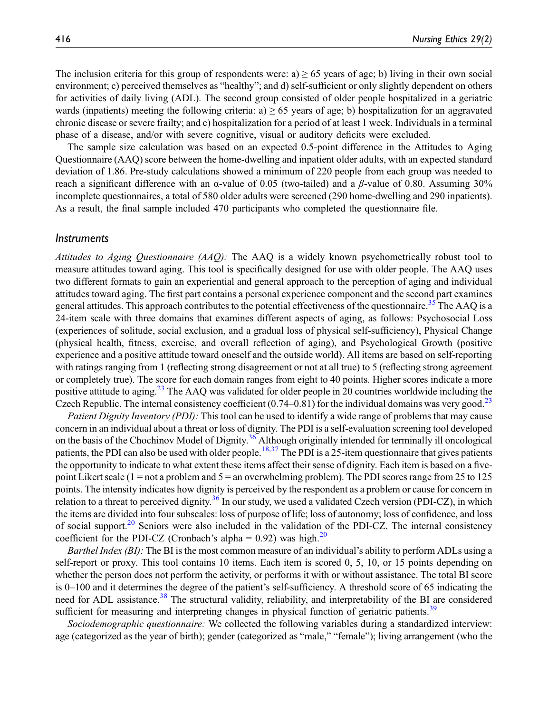The inclusion criteria for this group of respondents were: a)  $\geq$  65 years of age; b) living in their own social environment; c) perceived themselves as "healthy"; and d) self-sufficient or only slightly dependent on others for activities of daily living (ADL). The second group consisted of older people hospitalized in a geriatric wards (inpatients) meeting the following criteria: a)  $\geq$  65 years of age; b) hospitalization for an aggravated chronic disease or severe frailty; and c) hospitalization for a period of at least 1 week. Individuals in a terminal phase of a disease, and/or with severe cognitive, visual or auditory deficits were excluded.

The sample size calculation was based on an expected 0.5-point difference in the Attitudes to Aging Questionnaire (AAQ) score between the home-dwelling and inpatient older adults, with an expected standard deviation of 1.86. Pre-study calculations showed a minimum of 220 people from each group was needed to reach a significant difference with an α-value of 0.05 (two-tailed) and a β-value of 0.80. Assuming 30% incomplete questionnaires, a total of 580 older adults were screened (290 home-dwelling and 290 inpatients). As a result, the final sample included 470 participants who completed the questionnaire file.

### **Instruments**

Attitudes to Aging Questionnaire (AAQ): The AAQ is a widely known psychometrically robust tool to measure attitudes toward aging. This tool is specifically designed for use with older people. The AAQ uses two different formats to gain an experiential and general approach to the perception of aging and individual attitudes toward aging. The first part contains a personal experience component and the second part examines general attitudes. This approach contributes to the potential effectiveness of the questionnaire.<sup>[35](#page-11-1)</sup> The AAQ is a 24-item scale with three domains that examines different aspects of aging, as follows: Psychosocial Loss (experiences of solitude, social exclusion, and a gradual loss of physical self-sufficiency), Physical Change (physical health, fitness, exercise, and overall reflection of aging), and Psychological Growth (positive experience and a positive attitude toward oneself and the outside world). All items are based on self-reporting with ratings ranging from 1 (reflecting strong disagreement or not at all true) to 5 (reflecting strong agreement or completely true). The score for each domain ranges from eight to 40 points. Higher scores indicate a more positive attitude to aging.[23](#page-10-4) The AAQ was validated for older people in 20 countries worldwide including the Czech Republic. The internal consistency coefficient  $(0.74-0.81)$  for the individual domains was very good.<sup>[23](#page-10-4)</sup>

Patient Dignity Inventory (PDI): This tool can be used to identify a wide range of problems that may cause concern in an individual about a threat or loss of dignity. The PDI is a self-evaluation screening tool developed on the basis of the Chochinov Model of Dignity.<sup>[36](#page-11-2)</sup> Although originally intended for terminally ill oncological patients, the PDI can also be used with older people.<sup>[18](#page-10-15)[,37](#page-11-3)</sup> The PDI is a 25-item questionnaire that gives patients the opportunity to indicate to what extent these items affect their sense of dignity. Each item is based on a fivepoint Likert scale (1 = not a problem and 5 = an overwhelming problem). The PDI scores range from 25 to 125 points. The intensity indicates how dignity is perceived by the respondent as a problem or cause for concern in relation to a threat to perceived dignity.<sup>[36](#page-11-2)</sup> In our study, we used a validated Czech version (PDI-CZ), in which the items are divided into four subscales: loss of purpose of life; loss of autonomy; loss of confidence, and loss of social support. $20$  Seniors were also included in the validation of the PDI-CZ. The internal consistency coefficient for the PDI-CZ (Cronbach's alpha =  $0.92$ ) was high.<sup>[20](#page-10-16)</sup>

Barthel Index (BI): The BI is the most common measure of an individual's ability to perform ADLs using a self-report or proxy. This tool contains 10 items. Each item is scored 0, 5, 10, or 15 points depending on whether the person does not perform the activity, or performs it with or without assistance. The total BI score is 0–100 and it determines the degree of the patient's self-sufficiency. A threshold score of 65 indicating the need for ADL assistance.<sup>[38](#page-11-4)</sup> The structural validity, reliability, and interpretability of the BI are considered sufficient for measuring and interpreting changes in physical function of geriatric patients.<sup>[39](#page-11-5)</sup>

Sociodemographic questionnaire: We collected the following variables during a standardized interview: age (categorized as the year of birth); gender (categorized as "male," "female"); living arrangement (who the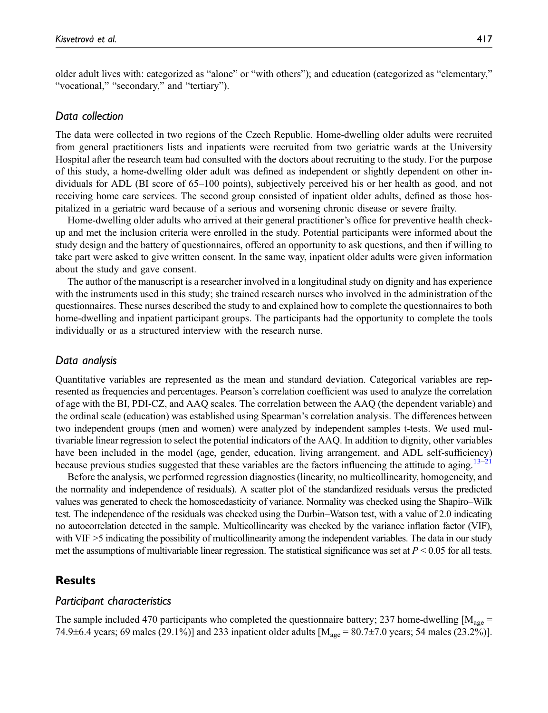older adult lives with: categorized as "alone" or "with others"); and education (categorized as "elementary," "vocational," "secondary," and "tertiary").

#### Data collection

The data were collected in two regions of the Czech Republic. Home-dwelling older adults were recruited from general practitioners lists and inpatients were recruited from two geriatric wards at the University Hospital after the research team had consulted with the doctors about recruiting to the study. For the purpose of this study, a home-dwelling older adult was defined as independent or slightly dependent on other individuals for ADL (BI score of 65–100 points), subjectively perceived his or her health as good, and not receiving home care services. The second group consisted of inpatient older adults, defined as those hospitalized in a geriatric ward because of a serious and worsening chronic disease or severe frailty.

Home-dwelling older adults who arrived at their general practitioner's office for preventive health checkup and met the inclusion criteria were enrolled in the study. Potential participants were informed about the study design and the battery of questionnaires, offered an opportunity to ask questions, and then if willing to take part were asked to give written consent. In the same way, inpatient older adults were given information about the study and gave consent.

The author of the manuscript is a researcher involved in a longitudinal study on dignity and has experience with the instruments used in this study; she trained research nurses who involved in the administration of the questionnaires. These nurses described the study to and explained how to complete the questionnaires to both home-dwelling and inpatient participant groups. The participants had the opportunity to complete the tools individually or as a structured interview with the research nurse.

### Data analysis

Quantitative variables are represented as the mean and standard deviation. Categorical variables are represented as frequencies and percentages. Pearson's correlation coefficient was used to analyze the correlation of age with the BI, PDI-CZ, and AAQ scales. The correlation between the AAQ (the dependent variable) and the ordinal scale (education) was established using Spearman's correlation analysis. The differences between two independent groups (men and women) were analyzed by independent samples t-tests. We used multivariable linear regression to select the potential indicators of the AAQ. In addition to dignity, other variables have been included in the model (age, gender, education, living arrangement, and ADL self-sufficiency) because previous studies suggested that these variables are the factors influencing the attitude to aging.<sup>[13](#page-10-1)–[21](#page-10-2)</sup>

Before the analysis, we performed regression diagnostics (linearity, no multicollinearity, homogeneity, and the normality and independence of residuals). A scatter plot of the standardized residuals versus the predicted values was generated to check the homoscedasticity of variance. Normality was checked using the Shapiro–Wilk test. The independence of the residuals was checked using the Durbin–Watson test, with a value of 2.0 indicating no autocorrelation detected in the sample. Multicollinearity was checked by the variance inflation factor (VIF), with VIF >5 indicating the possibility of multicollinearity among the independent variables. The data in our study met the assumptions of multivariable linear regression. The statistical significance was set at  $P < 0.05$  for all tests.

## **Results**

#### Participant characteristics

The sample included 470 participants who completed the questionnaire battery; 237 home-dwelling  $[M_{\text{age}} =$ 74.9 $\pm$ 6.4 years; 69 males (29.1%)] and 233 inpatient older adults [ $M_{\text{age}} = 80.7 \pm 7.0$  years; 54 males (23.2%)].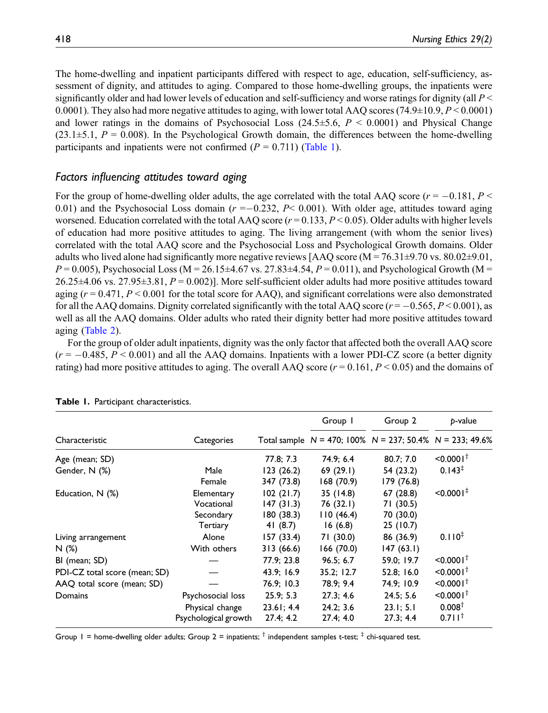The home-dwelling and inpatient participants differed with respect to age, education, self-sufficiency, assessment of dignity, and attitudes to aging. Compared to those home-dwelling groups, the inpatients were significantly older and had lower levels of education and self-sufficiency and worse ratings for dignity (all  $P \leq$ 0.0001). They also had more negative attitudes to aging, with lower total AAQ scores (74.9±10.9,  $P \le 0.0001$ ) and lower ratings in the domains of Psychosocial Loss  $(24.5\pm5.6, P \le 0.0001)$  and Physical Change  $(23.1\pm5.1, P = 0.008)$ . In the Psychological Growth domain, the differences between the home-dwelling participants and inpatients were not confirmed  $(P = 0.711)$  [\(Table 1](#page-5-0)).

# Factors influencing attitudes toward aging

For the group of home-dwelling older adults, the age correlated with the total AAQ score ( $r = -0.181, P <$ 0.01) and the Psychosocial Loss domain  $(r = -0.232, P < 0.001)$ . With older age, attitudes toward aging worsened. Education correlated with the total AAQ score  $(r = 0.133, P \le 0.05)$ . Older adults with higher levels of education had more positive attitudes to aging. The living arrangement (with whom the senior lives) correlated with the total AAQ score and the Psychosocial Loss and Psychological Growth domains. Older adults who lived alone had significantly more negative reviews [AAQ score ( $M = 76.31 \pm 9.70$  vs. 80.02 $\pm 9.01$ ,  $P = 0.005$ ), Psychosocial Loss (M = 26.15±4.67 vs. 27.83±4.54,  $P = 0.011$ ), and Psychological Growth (M =  $26.25\pm4.06$  vs.  $27.95\pm3.81$ ,  $P = 0.002$ ). More self-sufficient older adults had more positive attitudes toward aging  $(r = 0.471, P \le 0.001$  for the total score for AAQ), and significant correlations were also demonstrated for all the AAQ domains. Dignity correlated significantly with the total AAQ score ( $r = -0.565$ ,  $P \le 0.001$ ), as well as all the AAQ domains. Older adults who rated their dignity better had more positive attitudes toward aging ([Table 2\)](#page-6-0).

For the group of older adult inpatients, dignity was the only factor that affected both the overall AAQ score  $(r = -0.485, P \le 0.001)$  and all the AAO domains. Inpatients with a lower PDI-CZ score (a better dignity rating) had more positive attitudes to aging. The overall AAQ score ( $r = 0.161$ ,  $P \le 0.05$ ) and the domains of

|                               |                                                              |                                                   | Group 1                                      | Group 2                                                           | p-value                                                 |  |
|-------------------------------|--------------------------------------------------------------|---------------------------------------------------|----------------------------------------------|-------------------------------------------------------------------|---------------------------------------------------------|--|
| Characteristic                | Categories                                                   |                                                   |                                              | Total sample $N = 470$ ; 100% $N = 237$ ; 50.4% $N = 233$ ; 49.6% |                                                         |  |
| Age (mean; SD)                |                                                              | 77.8; 7.3                                         | 74.9; 6.4                                    | 80.7; 7.0                                                         | $< 0.0001^{\dagger}$                                    |  |
| Gender, N (%)                 | Male<br>Female                                               | 123(26.2)<br>347 (73.8)                           | 69(29.1)<br>168(70.9)                        | 54 (23.2)<br>179 (76.8)                                           | $0.143^{\ddagger}$                                      |  |
| Education, N (%)              | Elementary<br>Vocational<br>Secondary<br>Tertiary            | 102(21.7)<br>147(31.3)<br>180(38.3)<br>41 $(8.7)$ | 35(14.8)<br>76(32.1)<br>110(46.4)<br>16(6.8) | 67(28.8)<br>71 (30.5)<br>70 (30.0)<br>25 (10.7)                   | $< 0.0001$ <sup>#</sup>                                 |  |
| Living arrangement<br>N(%)    | Alone<br>With others                                         | 157(33.4)<br>313(66.6)                            | 71 (30.0)<br>166 (70.0)                      | 86 (36.9)<br>147(63.1)                                            | $0.110^{4}$                                             |  |
| BI (mean; SD)                 |                                                              | 77.9; 23.8                                        | 96.5: 6.7                                    | 59.0; 19.7                                                        | $< 0.0001$ <sup>T</sup>                                 |  |
| PDI-CZ total score (mean; SD) |                                                              | 43.9; 16.9                                        | 35.2; 12.7                                   | 52.8; 16.0                                                        | $< 0.0001^{\dagger}$                                    |  |
| AAQ total score (mean; SD)    |                                                              | 76.9: 10.3                                        | 78.9: 9.4                                    | 74.9; 10.9                                                        | $< 0.0001^{\dagger}$                                    |  |
| Domains                       | Psychosocial loss<br>Physical change<br>Psychological growth | 25.9:5.3<br>23.61; 4.4<br>27.4; 4.2               | 27.3:4.6<br>24.2:3.6<br>27.4; 4.0            | 24.5: 5.6<br>23.1; 5.1<br>27.3; 4.4                               | $< 0.0001^{\dagger}$<br>0.008 <sup>†</sup><br>$0.711^+$ |  |

|  |  |  | Table 1. Participant characteristics. |
|--|--|--|---------------------------------------|
|--|--|--|---------------------------------------|

<span id="page-5-0"></span>Group 1 = home-dwelling older adults; Group 2 = inpatients;  $\dagger$  independent samples t-test;  $\dagger$  chi-squared test.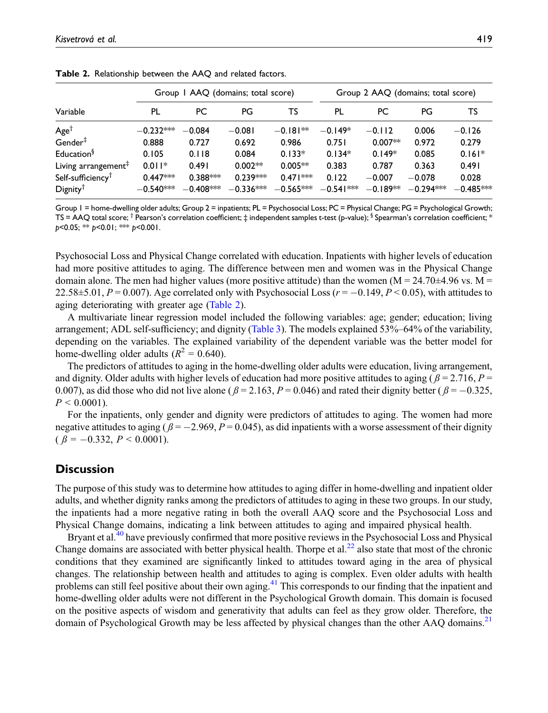|                                 | Group 1 AAQ (domains; total score) |             |             |             | Group 2 AAQ (domains; total score) |            |             |             |
|---------------------------------|------------------------------------|-------------|-------------|-------------|------------------------------------|------------|-------------|-------------|
| Variable                        | PL                                 | PC          | PG          | TS          | PL                                 | РC         | PG          | TS          |
| Age <sup>†</sup>                | $-0.232***$                        | $-0.084$    | $-0.081$    | $-0.181**$  | $-0.149*$                          | $-0.112$   | 0.006       | $-0.126$    |
| $\mathsf{Gender}^{\ddagger}$    | 0.888                              | 0.727       | 0.692       | 0.986       | 0.751                              | $0.007**$  | 0.972       | 0.279       |
| Education <sup>§</sup>          | 0.105                              | 0.118       | 0.084       | $0.133*$    | $0.134*$                           | $0.149*$   | 0.085       | $0.161*$    |
| Living arrangement <sup>+</sup> | $0.011*$                           | 0.491       | $0.002**$   | $0.005**$   | 0.383                              | 0.787      | 0.363       | 0.491       |
| Self-sufficiency <sup>T</sup>   | $0.447***$                         | $0.388***$  | $0.239***$  | $0.471***$  | 0.122                              | $-0.007$   | $-0.078$    | 0.028       |
| $Digity^{\dagger}$              | $-0.540^{*\approx}$                | $-0.408***$ | $-0.336***$ | $-0.565***$ | $-0.541***$                        | $-0.189**$ | $-0.294***$ | $-0.485***$ |

Table 2. Relationship between the AAQ and related factors.

<span id="page-6-0"></span>Group 1 = home-dwelling older adults; Group 2 = inpatients; PL = Psychosocial Loss; PC = Physical Change; PG = Psychological Growth; TS = AAQ total score;  $\dagger$  Pearson's correlation coefficient;  $\ddagger$  independent samples t-test (p-value);  $\dagger$  Spearman's correlation coefficient; \*  $p$ <0.05; \*\*  $p$ <0.01; \*\*\*  $p$ <0.001.

Psychosocial Loss and Physical Change correlated with education. Inpatients with higher levels of education had more positive attitudes to aging. The difference between men and women was in the Physical Change domain alone. The men had higher values (more positive attitude) than the women ( $M = 24.70 \pm 4.96$  vs.  $M =$ 22.58 $\pm$ 5.01, P = 0.007). Age correlated only with Psychosocial Loss ( $r = -0.149$ , P < 0.05), with attitudes to aging deteriorating with greater age ([Table 2](#page-6-0)).

A multivariate linear regression model included the following variables: age; gender; education; living arrangement; ADL self-sufficiency; and dignity ([Table 3\)](#page-7-0). The models explained 53%–64% of the variability, depending on the variables. The explained variability of the dependent variable was the better model for home-dwelling older adults ( $R^2 = 0.640$ ).

The predictors of attitudes to aging in the home-dwelling older adults were education, living arrangement, and dignity. Older adults with higher levels of education had more positive attitudes to aging ( $\beta = 2.716$ ,  $P =$ 0.007), as did those who did not live alone ( $\beta = 2.163$ ,  $P = 0.046$ ) and rated their dignity better ( $\beta = -0.325$ ,  $P < 0.0001$ ).

For the inpatients, only gender and dignity were predictors of attitudes to aging. The women had more negative attitudes to aging ( $\beta = -2.969$ ,  $P = 0.045$ ), as did inpatients with a worse assessment of their dignity  $(\beta = -0.332, P \le 0.0001).$ 

# **Discussion**

The purpose of this study was to determine how attitudes to aging differ in home-dwelling and inpatient older adults, and whether dignity ranks among the predictors of attitudes to aging in these two groups. In our study, the inpatients had a more negative rating in both the overall AAQ score and the Psychosocial Loss and Physical Change domains, indicating a link between attitudes to aging and impaired physical health.

Bryant et al.[40](#page-11-6) have previously confirmed that more positive reviews in the Psychosocial Loss and Physical Change domains are associated with better physical health. Thorpe et al.<sup>22</sup> also state that most of the chronic conditions that they examined are significantly linked to attitudes toward aging in the area of physical changes. The relationship between health and attitudes to aging is complex. Even older adults with health problems can still feel positive about their own aging.<sup>[41](#page-11-7)</sup> This corresponds to our finding that the inpatient and home-dwelling older adults were not different in the Psychological Growth domain. This domain is focused on the positive aspects of wisdom and generativity that adults can feel as they grow older. Therefore, the domain of Psychological Growth may be less affected by physical changes than the other AAQ domains.<sup>[21](#page-10-2)</sup>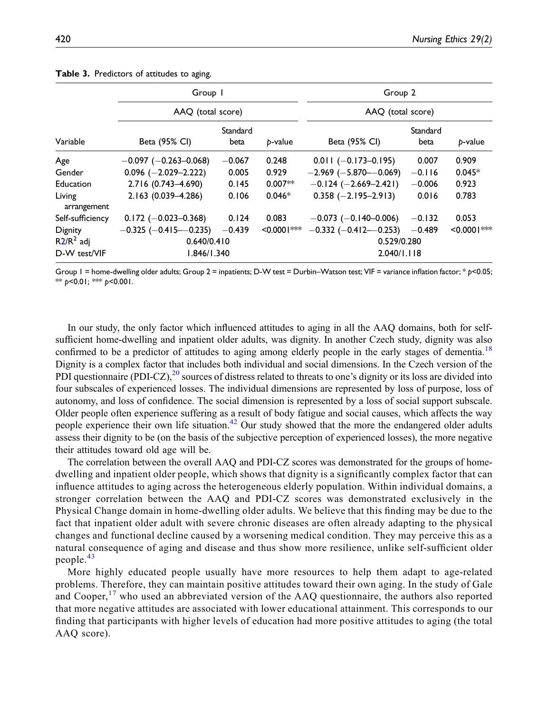|                       | Group 1                       |                  |                | Group 2                        |                  |                |  |
|-----------------------|-------------------------------|------------------|----------------|--------------------------------|------------------|----------------|--|
|                       | AAQ (total score)             |                  |                | AAQ (total score)              |                  |                |  |
| Variable              | Beta (95% CI)                 | Standard<br>beta | p-value        | Beta (95% CI)                  | Standard<br>beta | b-value        |  |
| Age                   | $-0.097$ ( $-0.263 - 0.068$ ) | $-0.067$         | 0.248          | $0.011 (-0.173 - 0.195)$       | 0.007            | 0.909          |  |
| Gender                | $0.096$ (-2.029-2.222)        | 0.005            | 0.929          | $-2.969$ ( $-5.870$ $-0.069$ ) | $-0.116$         | $0.045*$       |  |
| Education             | 2.716 (0.743-4.690)           | 0.145            | $0.007**$      | $-0.124$ ( $-2.669-2.421$ )    | $-0.006$         | 0.923          |  |
| Living<br>arrangement | 2.163 (0.039-4.286)           | 0.106            | $0.046*$       | $0.358$ (-2.195-2.913)         | 0.016            | 0.783          |  |
| Self-sufficiency      | $0.172 (-0.023 - 0.368)$      | 0.124            | 0.083          | $-0.073$ (-0.140-0.006)        | $-0.132$         | 0.053          |  |
| <b>Dignity</b>        | $-0.325$ ( $-0.415-0.235$ )   | $-0.439$         | $< 0.0001$ *** | $-0.332$ ( $-0.412 - 0.253$ )  | $-0.489$         | $< 0.0001$ *** |  |
| $R2/R2$ adj           | 0.640/0.410                   |                  |                | 0.529/0.280                    |                  |                |  |
| D-W test/VIF          | 1.846/1.340                   |                  |                | 2.040/1.118                    |                  |                |  |

Table 3. Predictors of attitudes to aging.

<span id="page-7-0"></span>Group 1 = home-dwelling older adults; Group 2 = inpatients; D-W test = Durbin–Watson test; VIF = variance inflation factor; \* p<0.05; \*\*  $p$ <0.01; \*\*\*  $p$ <0.001.

In our study, the only factor which influenced attitudes to aging in all the AAQ domains, both for selfsufficient home-dwelling and inpatient older adults, was dignity. In another Czech study, dignity was also confirmed to be a predictor of attitudes to aging among elderly people in the early stages of dementia.<sup>[18](#page-10-15)</sup> Dignity is a complex factor that includes both individual and social dimensions. In the Czech version of the PDI questionnaire (PDI-CZ), $^{20}$  $^{20}$  $^{20}$  sources of distress related to threats to one's dignity or its loss are divided into four subscales of experienced losses. The individual dimensions are represented by loss of purpose, loss of autonomy, and loss of confidence. The social dimension is represented by a loss of social support subscale. Older people often experience suffering as a result of body fatigue and social causes, which affects the way people experience their own life situation.[42](#page-11-8) Our study showed that the more the endangered older adults assess their dignity to be (on the basis of the subjective perception of experienced losses), the more negative their attitudes toward old age will be.

The correlation between the overall AAQ and PDI-CZ scores was demonstrated for the groups of homedwelling and inpatient older people, which shows that dignity is a significantly complex factor that can influence attitudes to aging across the heterogeneous elderly population. Within individual domains, a stronger correlation between the AAQ and PDI-CZ scores was demonstrated exclusively in the Physical Change domain in home-dwelling older adults. We believe that this finding may be due to the fact that inpatient older adult with severe chronic diseases are often already adapting to the physical changes and functional decline caused by a worsening medical condition. They may perceive this as a natural consequence of aging and disease and thus show more resilience, unlike self-sufficient older people.[43](#page-11-9)

More highly educated people usually have more resources to help them adapt to age-related problems. Therefore, they can maintain positive attitudes toward their own aging. In the study of Gale and Cooper,<sup>[17](#page-10-17)</sup> who used an abbreviated version of the AAQ questionnaire, the authors also reported that more negative attitudes are associated with lower educational attainment. This corresponds to our finding that participants with higher levels of education had more positive attitudes to aging (the total AAQ score).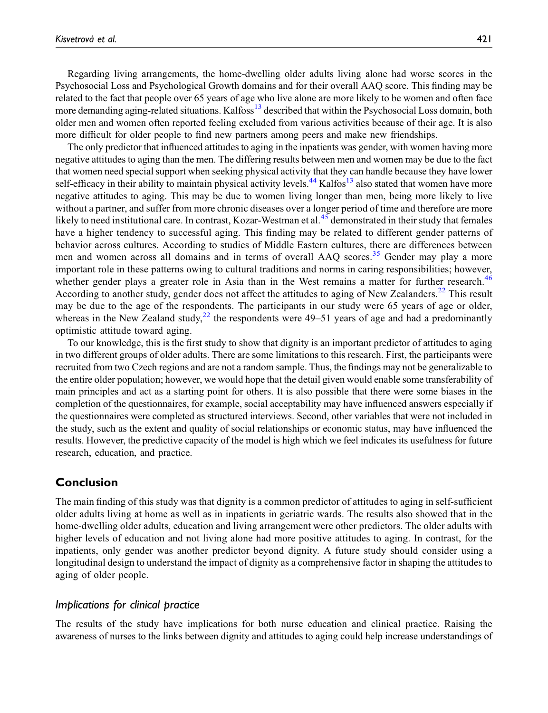Regarding living arrangements, the home-dwelling older adults living alone had worse scores in the Psychosocial Loss and Psychological Growth domains and for their overall AAQ score. This finding may be related to the fact that people over 65 years of age who live alone are more likely to be women and often face more demanding aging-related situations. Kalfoss<sup>[13](#page-10-1)</sup> described that within the Psychosocial Loss domain, both older men and women often reported feeling excluded from various activities because of their age. It is also more difficult for older people to find new partners among peers and make new friendships.

The only predictor that influenced attitudes to aging in the inpatients was gender, with women having more negative attitudes to aging than the men. The differing results between men and women may be due to the fact that women need special support when seeking physical activity that they can handle because they have lower self-efficacy in their ability to maintain physical activity levels.<sup>[44](#page-11-10)</sup> Kalfos<sup>13</sup> also stated that women have more negative attitudes to aging. This may be due to women living longer than men, being more likely to live without a partner, and suffer from more chronic diseases over a longer period of time and therefore are more likely to need institutional care. In contrast, Kozar-Westman et al.<sup>[45](#page-11-11)</sup> demonstrated in their study that females have a higher tendency to successful aging. This finding may be related to different gender patterns of behavior across cultures. According to studies of Middle Eastern cultures, there are differences between men and women across all domains and in terms of overall AAQ scores.<sup>[35](#page-11-1)</sup> Gender may play a more important role in these patterns owing to cultural traditions and norms in caring responsibilities; however, whether gender plays a greater role in Asia than in the West remains a matter for further research.<sup>[46](#page-11-12)</sup> According to another study, gender does not affect the attitudes to aging of New Zealanders.<sup>[22](#page-10-3)</sup> This result may be due to the age of the respondents. The participants in our study were 65 years of age or older, whereas in the New Zealand study,<sup>[22](#page-10-3)</sup> the respondents were  $49-51$  years of age and had a predominantly optimistic attitude toward aging.

To our knowledge, this is the first study to show that dignity is an important predictor of attitudes to aging in two different groups of older adults. There are some limitations to this research. First, the participants were recruited from two Czech regions and are not a random sample. Thus, the findings may not be generalizable to the entire older population; however, we would hope that the detail given would enable some transferability of main principles and act as a starting point for others. It is also possible that there were some biases in the completion of the questionnaires, for example, social acceptability may have influenced answers especially if the questionnaires were completed as structured interviews. Second, other variables that were not included in the study, such as the extent and quality of social relationships or economic status, may have influenced the results. However, the predictive capacity of the model is high which we feel indicates its usefulness for future research, education, and practice.

# Conclusion

The main finding of this study was that dignity is a common predictor of attitudes to aging in self-sufficient older adults living at home as well as in inpatients in geriatric wards. The results also showed that in the home-dwelling older adults, education and living arrangement were other predictors. The older adults with higher levels of education and not living alone had more positive attitudes to aging. In contrast, for the inpatients, only gender was another predictor beyond dignity. A future study should consider using a longitudinal design to understand the impact of dignity as a comprehensive factor in shaping the attitudes to aging of older people.

# Implications for clinical practice

The results of the study have implications for both nurse education and clinical practice. Raising the awareness of nurses to the links between dignity and attitudes to aging could help increase understandings of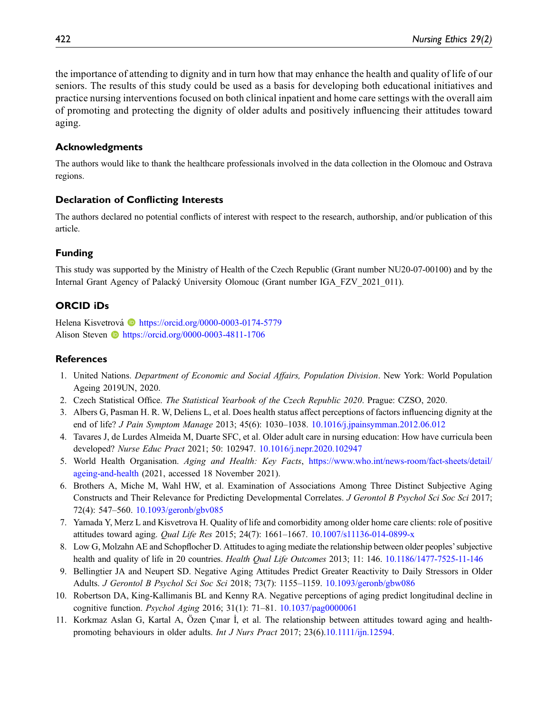the importance of attending to dignity and in turn how that may enhance the health and quality of life of our seniors. The results of this study could be used as a basis for developing both educational initiatives and practice nursing interventions focused on both clinical inpatient and home care settings with the overall aim of promoting and protecting the dignity of older adults and positively influencing their attitudes toward aging.

## Acknowledgments

The authors would like to thank the healthcare professionals involved in the data collection in the Olomouc and Ostrava regions.

## Declaration of Conflicting Interests

The authors declared no potential conflicts of interest with respect to the research, authorship, and/or publication of this article.

## Funding

This study was supported by the Ministry of Health of the Czech Republic (Grant number NU20-07-00100) and by the Internal Grant Agency of Palacky University Olomouc (Grant number IGA\_FZV\_2021\_011). ´

# ORCID iDs

Helena Kisvetrová<sup> in</sup> <https://orcid.org/0000-0003-0174-5779> Alison Steven **b** <https://orcid.org/0000-0003-4811-1706>

## References

- <span id="page-9-0"></span>1. United Nations. Department of Economic and Social Affairs, Population Division. New York: World Population Ageing 2019UN, 2020.
- <span id="page-9-1"></span>2. Czech Statistical Office. The Statistical Yearbook of the Czech Republic 2020. Prague: CZSO, 2020.
- <span id="page-9-2"></span>3. Albers G, Pasman H. R. W, Deliens L, et al. Does health status affect perceptions of factors influencing dignity at the end of life? J Pain Symptom Manage 2013; 45(6): 1030–1038. [10.1016/j.jpainsymman.2012.06.012](https://doi.org/10.1016/j.jpainsymman.2012.06.012)
- <span id="page-9-3"></span>4. Tavares J, de Lurdes Almeida M, Duarte SFC, et al. Older adult care in nursing education: How have curricula been developed? Nurse Educ Pract 2021; 50: 102947. [10.1016/j.nepr.2020.102947](https://doi.org/10.1016/j.nepr.2020.102947)
- <span id="page-9-4"></span>5. World Health Organisation. Aging and Health: Key Facts, [https://www.who.int/news-room/fact-sheets/detail/](https://www.who.int/news-room/fact-sheets/detail/ageing-and-health) [ageing-and-health](https://www.who.int/news-room/fact-sheets/detail/ageing-and-health) (2021, accessed 18 November 2021).
- <span id="page-9-5"></span>6. Brothers A, Miche M, Wahl HW, et al. Examination of Associations Among Three Distinct Subjective Aging Constructs and Their Relevance for Predicting Developmental Correlates. J Gerontol B Psychol Sci Soc Sci 2017; 72(4): 547–560. [10.1093/geronb/gbv085](https://doi.org/10.1093/geronb/gbv085)
- <span id="page-9-6"></span>7. Yamada Y, Merz L and Kisvetrova H. Quality of life and comorbidity among older home care clients: role of positive attitudes toward aging. Qual Life Res 2015; 24(7): 1661–1667. [10.1007/s11136-014-0899-x](https://doi.org/10.1007/s11136-014-0899-x)
- <span id="page-9-7"></span>8. Low G, Molzahn AE and Schopflocher D. Attitudes to aging mediate the relationship between older peoples'subjective health and quality of life in 20 countries. Health Qual Life Outcomes 2013; 11: 146. [10.1186/1477-7525-11-146](https://doi.org/10.1186/1477-7525-11-146)
- <span id="page-9-8"></span>9. Bellingtier JA and Neupert SD. Negative Aging Attitudes Predict Greater Reactivity to Daily Stressors in Older Adults. J Gerontol B Psychol Sci Soc Sci 2018; 73(7): 1155–1159. [10.1093/geronb/gbw086](https://doi.org/10.1093/geronb/gbw086)
- <span id="page-9-9"></span>10. Robertson DA, King-Kallimanis BL and Kenny RA. Negative perceptions of aging predict longitudinal decline in cognitive function. Psychol Aging 2016; 31(1): 71–81. [10.1037/pag0000061](https://doi.org/10.1037/pag0000061)
- <span id="page-9-10"></span>11. Korkmaz Aslan G, Kartal A, Özen Çınar İ, et al. The relationship between attitudes toward aging and healthpromoting behaviours in older adults. Int J Nurs Pract 2017; 23(6).[10.1111/ijn.12594.](https://doi.org/10.1111/ijn.12594)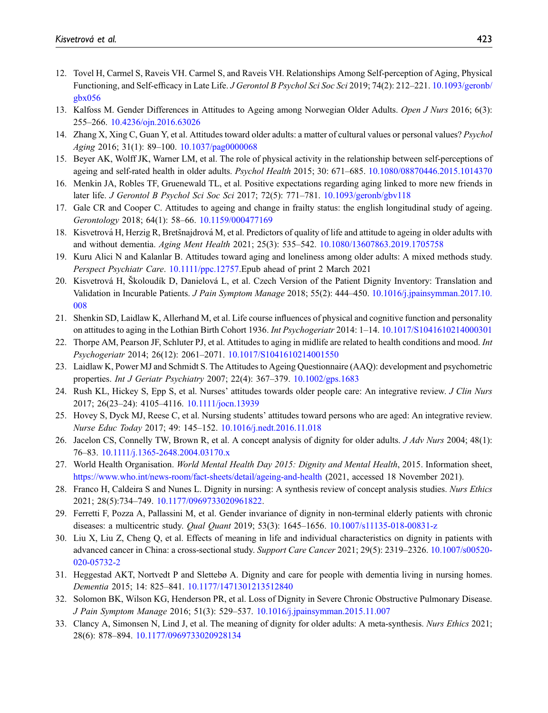- <span id="page-10-0"></span>12. Tovel H, Carmel S, Raveis VH. Carmel S, and Raveis VH. Relationships Among Self-perception of Aging, Physical Functioning, and Self-efficacy in Late Life. J Gerontol B Psychol Sci Soc Sci 2019; 74(2): 212–221. [10.1093/geronb/](https://doi.org/10.1093/geronb/gbx056) [gbx056](https://doi.org/10.1093/geronb/gbx056)
- <span id="page-10-1"></span>13. Kalfoss M. Gender Differences in Attitudes to Ageing among Norwegian Older Adults. Open J Nurs 2016; 6(3): 255–266. [10.4236/ojn.2016.63026](https://doi.org/10.4236/ojn.2016.63026)
- 14. Zhang X, Xing C, Guan Y, et al. Attitudes toward older adults: a matter of cultural values or personal values? Psychol Aging 2016; 31(1): 89–100. [10.1037/pag0000068](https://doi.org/10.1037/pag0000068)
- 15. Beyer AK, Wolff JK, Warner LM, et al. The role of physical activity in the relationship between self-perceptions of ageing and self-rated health in older adults. Psychol Health 2015; 30: 671–685. [10.1080/08870446.2015.1014370](https://doi.org/10.1080/08870446.2015.1014370)
- 16. Menkin JA, Robles TF, Gruenewald TL, et al. Positive expectations regarding aging linked to more new friends in later life. J Gerontol B Psychol Sci Soc Sci 2017; 72(5): 771–781. [10.1093/geronb/gbv118](https://doi.org/10.1093/geronb/gbv118)
- <span id="page-10-17"></span>17. Gale CR and Cooper C. Attitudes to ageing and change in frailty status: the english longitudinal study of ageing. Gerontology 2018; 64(1): 58–66. [10.1159/000477169](https://doi.org/10.1159/000477169)
- <span id="page-10-15"></span>18. Kisvetrová H, Herzig R, Bretšnajdrová M, et al. Predictors of quality of life and attitude to ageing in older adults with and without dementia. Aging Ment Health 2021; 25(3): 535–542. [10.1080/13607863.2019.1705758](https://doi.org/10.1080/13607863.2019.1705758)
- 19. Kuru Alici N and Kalanlar B. Attitudes toward aging and loneliness among older adults: A mixed methods study. Perspect Psychiatr Care. [10.1111/ppc.12757.](https://doi.org/10.1111/ppc.12757)Epub ahead of print 2 March 2021
- <span id="page-10-16"></span>20. Kisvetrová H, Školoudík D, Danielová L, et al. Czech Version of the Patient Dignity Inventory: Translation and Validation in Incurable Patients. J Pain Symptom Manage 2018; 55(2): 444–450. [10.1016/j.jpainsymman.2017.10.](https://doi.org/10.1016/j.jpainsymman.2017.10.008) [008](https://doi.org/10.1016/j.jpainsymman.2017.10.008)
- <span id="page-10-2"></span>21. Shenkin SD, Laidlaw K, Allerhand M, et al. Life course influences of physical and cognitive function and personality on attitudes to aging in the Lothian Birth Cohort 1936. Int Psychogeriatr 2014: 1–14. [10.1017/S1041610214000301](https://doi.org/10.1017/S1041610214000301)
- <span id="page-10-3"></span>22. Thorpe AM, Pearson JF, Schluter PJ, et al. Attitudes to aging in midlife are related to health conditions and mood. Int Psychogeriatr 2014; 26(12): 2061–2071. [10.1017/S1041610214001550](https://doi.org/10.1017/S1041610214001550)
- <span id="page-10-4"></span>23. Laidlaw K, Power MJ and Schmidt S. The Attitudes to Ageing Questionnaire (AAQ): development and psychometric properties. Int J Geriatr Psychiatry 2007; 22(4): 367–379. [10.1002/gps.1683](https://doi.org/10.1002/gps.1683)
- <span id="page-10-5"></span>24. Rush KL, Hickey S, Epp S, et al. Nurses' attitudes towards older people care: An integrative review. J Clin Nurs 2017; 26(23–24): 4105–4116. [10.1111/jocn.13939](https://doi.org/10.1111/jocn.13939)
- <span id="page-10-6"></span>25. Hovey S, Dyck MJ, Reese C, et al. Nursing students' attitudes toward persons who are aged: An integrative review. Nurse Educ Today 2017; 49: 145–152. [10.1016/j.nedt.2016.11.018](https://doi.org/10.1016/j.nedt.2016.11.018)
- <span id="page-10-7"></span>26. Jacelon CS, Connelly TW, Brown R, et al. A concept analysis of dignity for older adults. J Adv Nurs 2004; 48(1): 76–83. [10.1111/j.1365-2648.2004.03170.x](https://doi.org/10.1111/j.1365-2648.2004.03170.x)
- <span id="page-10-8"></span>27. World Health Organisation. World Mental Health Day 2015: Dignity and Mental Health, 2015. Information sheet, <https://www.who.int/news-room/fact-sheets/detail/ageing-and-health> (2021, accessed 18 November 2021).
- <span id="page-10-9"></span>28. Franco H, Caldeira S and Nunes L. Dignity in nursing: A synthesis review of concept analysis studies. Nurs Ethics 2021; 28(5):734–749. [10.1177/0969733020961822](https://doi.org/10.1177/0969733020961822).
- <span id="page-10-10"></span>29. Ferretti F, Pozza A, Pallassini M, et al. Gender invariance of dignity in non-terminal elderly patients with chronic diseases: a multicentric study. Qual Quant 2019; 53(3): 1645–1656. [10.1007/s11135-018-00831-z](https://doi.org/10.1007/s11135-018-00831-z)
- <span id="page-10-11"></span>30. Liu X, Liu Z, Cheng Q, et al. Effects of meaning in life and individual characteristics on dignity in patients with advanced cancer in China: a cross-sectional study. Support Care Cancer 2021; 29(5): 2319–2326. [10.1007/s00520-](https://doi.org/10.1007/s00520-020-05732-2) [020-05732-2](https://doi.org/10.1007/s00520-020-05732-2)
- <span id="page-10-12"></span>31. Heggestad AKT, Nortvedt P and Slettebø A. Dignity and care for people with dementia living in nursing homes. Dementia 2015; 14: 825–841. [10.1177/1471301213512840](https://doi.org/10.1177/1471301213512840)
- <span id="page-10-13"></span>32. Solomon BK, Wilson KG, Henderson PR, et al. Loss of Dignity in Severe Chronic Obstructive Pulmonary Disease. J Pain Symptom Manage 2016; 51(3): 529–537. [10.1016/j.jpainsymman.2015.11.007](https://doi.org/10.1016/j.jpainsymman.2015.11.007)
- <span id="page-10-14"></span>33. Clancy A, Simonsen N, Lind J, et al. The meaning of dignity for older adults: A meta-synthesis. Nurs Ethics 2021; 28(6): 878–894. [10.1177/0969733020928134](https://doi.org/10.1177/0969733020928134)